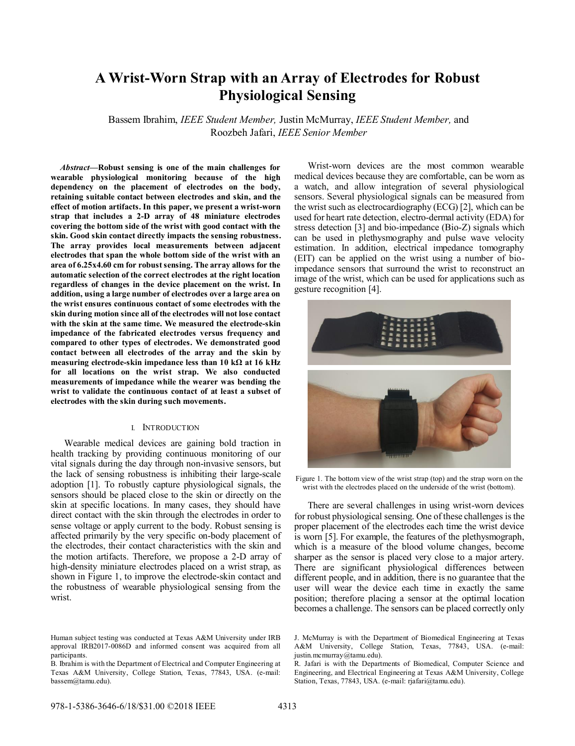# **A Wrist-Worn Strap with an Array of Electrodes for Robust Physiological Sensing**

Bassem Ibrahim, *IEEE Student Member,* Justin McMurray, *IEEE Student Member,* and Roozbeh Jafari, *IEEE Senior Member*

*Abstract***—Robust sensing is one of the main challenges for wearable physiological monitoring because of the high dependency on the placement of electrodes on the body, retaining suitable contact between electrodes and skin, and the effect of motion artifacts. In this paper, we present a wrist-worn strap that includes a 2-D array of 48 miniature electrodes covering the bottom side of the wrist with good contact with the skin. Good skin contact directly impacts the sensing robustness. The array provides local measurements between adjacent electrodes that span the whole bottom side of the wrist with an area of 6.25x4.60 cm for robust sensing. The array allows for the automatic selection of the correct electrodes at the right location regardless of changes in the device placement on the wrist. In addition, using a large number of electrodes over a large area on the wrist ensures continuous contact of some electrodes with the skin during motion since all of the electrodes will not lose contact with the skin at the same time. We measured the electrode-skin impedance of the fabricated electrodes versus frequency and compared to other types of electrodes. We demonstrated good contact between all electrodes of the array and the skin by measuring electrode-skin impedance less than 10 kΩ at 16 kHz for all locations on the wrist strap. We also conducted measurements of impedance while the wearer was bending the wrist to validate the continuous contact of at least a subset of electrodes with the skin during such movements.** 

### I. INTRODUCTION

Wearable medical devices are gaining bold traction in health tracking by providing continuous monitoring of our vital signals during the day through non-invasive sensors, but the lack of sensing robustness is inhibiting their large-scale adoption [1]. To robustly capture physiological signals, the sensors should be placed close to the skin or directly on the skin at specific locations. In many cases, they should have direct contact with the skin through the electrodes in order to sense voltage or apply current to the body. Robust sensing is affected primarily by the very specific on-body placement of the electrodes, their contact characteristics with the skin and the motion artifacts. Therefore, we propose a 2-D array of high-density miniature electrodes placed on a wrist strap, as shown in Figure 1, to improve the electrode-skin contact and the robustness of wearable physiological sensing from the wrist.

Wrist-worn devices are the most common wearable medical devices because they are comfortable, can be worn as a watch, and allow integration of several physiological sensors. Several physiological signals can be measured from the wrist such as electrocardiography (ECG) [2], which can be used for heart rate detection, electro-dermal activity (EDA) for stress detection [3] and bio-impedance (Bio-Z) signals which can be used in plethysmography and pulse wave velocity estimation. In addition, electrical impedance tomography (EIT) can be applied on the wrist using a number of bioimpedance sensors that surround the wrist to reconstruct an image of the wrist, which can be used for applications such as gesture recognition [4].



Figure 1. The bottom view of the wrist strap (top) and the strap worn on the wrist with the electrodes placed on the underside of the wrist (bottom).

There are several challenges in using wrist-worn devices for robust physiological sensing. One of these challenges is the proper placement of the electrodes each time the wrist device is worn [5]. For example, the features of the plethysmograph, which is a measure of the blood volume changes, become sharper as the sensor is placed very close to a major artery. There are significant physiological differences between different people, and in addition, there is no guarantee that the user will wear the device each time in exactly the same position; therefore placing a sensor at the optimal location becomes a challenge. The sensors can be placed correctly only

Human subject testing was conducted at Texas A&M University under IRB approval IRB2017-0086D and informed consent was acquired from all participants.

B. Ibrahim is with the Department of Electrical and Computer Engineering at Texas A&M University, College Station, Texas, 77843, USA. (e-mail: bassem@tamu.edu).

J. McMurray is with the Department of Biomedical Engineering at Texas A&M University, College Station, Texas, 77843, USA. (e-mail: justin.mcmurray@tamu.edu).

R. Jafari is with the Departments of Biomedical, Computer Science and Engineering, and Electrical Engineering at Texas A&M University, College Station, Texas, 77843, USA. (e-mail: rjafari@tamu.edu).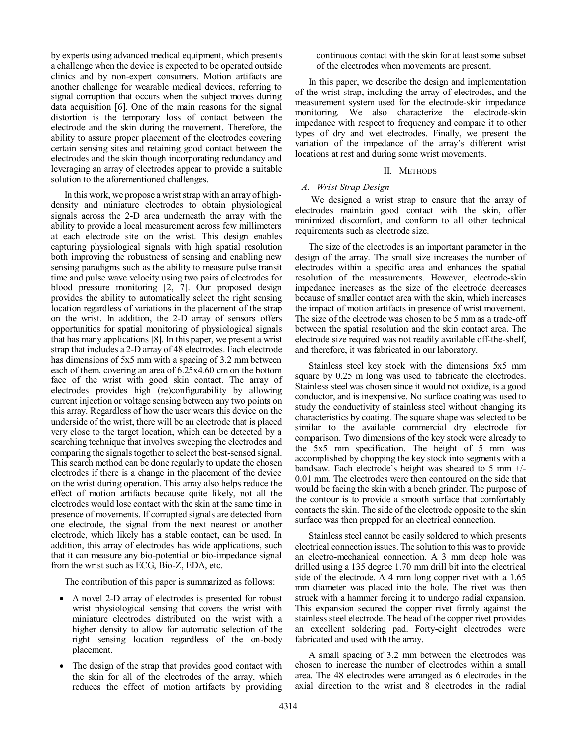by experts using advanced medical equipment, which presents a challenge when the device is expected to be operated outside clinics and by non-expert consumers. Motion artifacts are another challenge for wearable medical devices, referring to signal corruption that occurs when the subject moves during data acquisition [6]. One of the main reasons for the signal distortion is the temporary loss of contact between the electrode and the skin during the movement. Therefore, the ability to assure proper placement of the electrodes covering certain sensing sites and retaining good contact between the electrodes and the skin though incorporating redundancy and leveraging an array of electrodes appear to provide a suitable solution to the aforementioned challenges.

In this work, we propose a wrist strap with an array of highdensity and miniature electrodes to obtain physiological signals across the 2-D area underneath the array with the ability to provide a local measurement across few millimeters at each electrode site on the wrist. This design enables capturing physiological signals with high spatial resolution both improving the robustness of sensing and enabling new sensing paradigms such as the ability to measure pulse transit time and pulse wave velocity using two pairs of electrodes for blood pressure monitoring [2, 7]. Our proposed design provides the ability to automatically select the right sensing location regardless of variations in the placement of the strap on the wrist. In addition, the 2-D array of sensors offers opportunities for spatial monitoring of physiological signals that has many applications [8]. In this paper, we present a wrist strap that includes a 2-D array of 48 electrodes. Each electrode has dimensions of 5x5 mm with a spacing of 3.2 mm between each of them, covering an area of 6.25x4.60 cm on the bottom face of the wrist with good skin contact. The array of electrodes provides high (re)configurability by allowing current injection or voltage sensing between any two points on this array. Regardless of how the user wears this device on the underside of the wrist, there will be an electrode that is placed very close to the target location, which can be detected by a searching technique that involves sweeping the electrodes and comparing the signals together to select the best-sensed signal. This search method can be done regularly to update the chosen electrodes if there is a change in the placement of the device on the wrist during operation. This array also helps reduce the effect of motion artifacts because quite likely, not all the electrodes would lose contact with the skin at the same time in presence of movements. If corrupted signals are detected from one electrode, the signal from the next nearest or another electrode, which likely has a stable contact, can be used. In addition, this array of electrodes has wide applications, such that it can measure any bio-potential or bio-impedance signal from the wrist such as ECG, Bio-Z, EDA, etc.

The contribution of this paper is summarized as follows:

- A novel 2-D array of electrodes is presented for robust wrist physiological sensing that covers the wrist with miniature electrodes distributed on the wrist with a higher density to allow for automatic selection of the right sensing location regardless of the on-body placement.
- The design of the strap that provides good contact with the skin for all of the electrodes of the array, which reduces the effect of motion artifacts by providing

continuous contact with the skin for at least some subset of the electrodes when movements are present.

In this paper, we describe the design and implementation of the wrist strap, including the array of electrodes, and the measurement system used for the electrode-skin impedance monitoring. We also characterize the electrode-skin impedance with respect to frequency and compare it to other types of dry and wet electrodes. Finally, we present the variation of the impedance of the array's different wrist locations at rest and during some wrist movements.

## II. METHODS

## *A. Wrist Strap Design*

We designed a wrist strap to ensure that the array of electrodes maintain good contact with the skin, offer minimized discomfort, and conform to all other technical requirements such as electrode size.

The size of the electrodes is an important parameter in the design of the array. The small size increases the number of electrodes within a specific area and enhances the spatial resolution of the measurements. However, electrode-skin impedance increases as the size of the electrode decreases because of smaller contact area with the skin, which increases the impact of motion artifacts in presence of wrist movement. The size of the electrode was chosen to be 5 mm as a trade-off between the spatial resolution and the skin contact area. The electrode size required was not readily available off-the-shelf, and therefore, it was fabricated in our laboratory.

Stainless steel key stock with the dimensions 5x5 mm square by 0.25 m long was used to fabricate the electrodes. Stainless steel was chosen since it would not oxidize, is a good conductor, and is inexpensive. No surface coating was used to study the conductivity of stainless steel without changing its characteristics by coating. The square shape was selected to be similar to the available commercial dry electrode for comparison. Two dimensions of the key stock were already to the 5x5 mm specification. The height of 5 mm was accomplished by chopping the key stock into segments with a bandsaw. Each electrode's height was sheared to 5 mm +/- 0.01 mm. The electrodes were then contoured on the side that would be facing the skin with a bench grinder. The purpose of the contour is to provide a smooth surface that comfortably contacts the skin. The side of the electrode opposite to the skin surface was then prepped for an electrical connection.

Stainless steel cannot be easily soldered to which presents electrical connection issues. The solution to this was to provide an electro-mechanical connection. A 3 mm deep hole was drilled using a 135 degree 1.70 mm drill bit into the electrical side of the electrode. A 4 mm long copper rivet with a 1.65 mm diameter was placed into the hole. The rivet was then struck with a hammer forcing it to undergo radial expansion. This expansion secured the copper rivet firmly against the stainless steel electrode. The head of the copper rivet provides an excellent soldering pad. Forty-eight electrodes were fabricated and used with the array.

A small spacing of 3.2 mm between the electrodes was chosen to increase the number of electrodes within a small area. The 48 electrodes were arranged as 6 electrodes in the axial direction to the wrist and 8 electrodes in the radial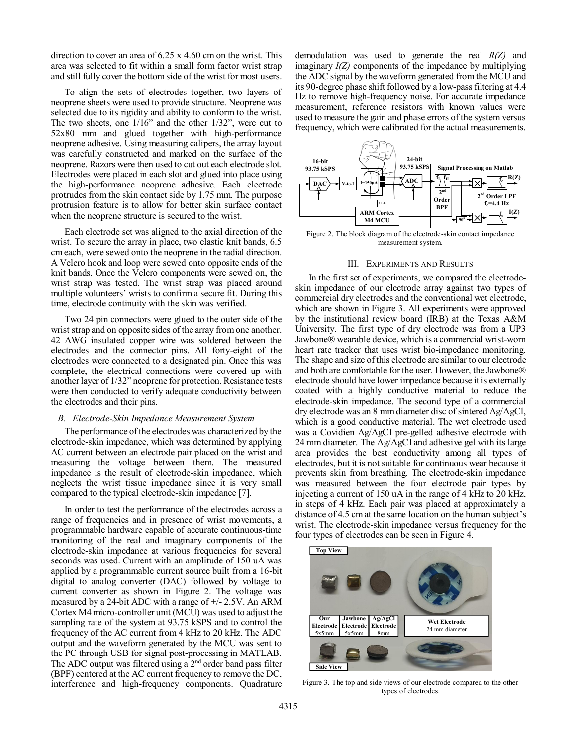direction to cover an area of 6.25 x 4.60 cm on the wrist. This area was selected to fit within a small form factor wrist strap and still fully cover the bottom side of the wrist for most users.

To align the sets of electrodes together, two layers of neoprene sheets were used to provide structure. Neoprene was selected due to its rigidity and ability to conform to the wrist. The two sheets, one 1/16" and the other 1/32", were cut to 52x80 mm and glued together with high-performance neoprene adhesive. Using measuring calipers, the array layout was carefully constructed and marked on the surface of the neoprene. Razors were then used to cut out each electrode slot. Electrodes were placed in each slot and glued into place using the high-performance neoprene adhesive. Each electrode protrudes from the skin contact side by 1.75 mm. The purpose protrusion feature is to allow for better skin surface contact when the neoprene structure is secured to the wrist.

Each electrode set was aligned to the axial direction of the wrist. To secure the array in place, two elastic knit bands, 6.5 cm each, were sewed onto the neoprene in the radial direction. A Velcro hook and loop were sewed onto opposite ends of the knit bands. Once the Velcro components were sewed on, the wrist strap was tested. The wrist strap was placed around multiple volunteers' wrists to confirm a secure fit. During this time, electrode continuity with the skin was verified.

Two 24 pin connectors were glued to the outer side of the wrist strap and on opposite sides of the array from one another. 42 AWG insulated copper wire was soldered between the electrodes and the connector pins. All forty-eight of the electrodes were connected to a designated pin. Once this was complete, the electrical connections were covered up with another layer of 1/32" neoprene for protection. Resistance tests were then conducted to verify adequate conductivity between the electrodes and their pins.

### *B. Electrode-Skin Impedance Measurement System*

The performance of the electrodes was characterized by the electrode-skin impedance, which was determined by applying AC current between an electrode pair placed on the wrist and measuring the voltage between them. The measured impedance is the result of electrode-skin impedance, which neglects the wrist tissue impedance since it is very small compared to the typical electrode-skin impedance [7].

In order to test the performance of the electrodes across a range of frequencies and in presence of wrist movements, a programmable hardware capable of accurate continuous-time monitoring of the real and imaginary components of the electrode-skin impedance at various frequencies for several seconds was used. Current with an amplitude of 150 uA was applied by a programmable current source built from a 16-bit digital to analog converter (DAC) followed by voltage to current converter as shown in Figure 2. The voltage was measured by a 24-bit ADC with a range of +/- 2.5V. An ARM Cortex M4 micro-controller unit (MCU) was used to adjust the sampling rate of the system at 93.75 kSPS and to control the frequency of the AC current from 4 kHz to 20 kHz. The ADC output and the waveform generated by the MCU was sent to the PC through USB for signal post-processing in MATLAB. The ADC output was filtered using a  $2<sup>nd</sup>$  order band pass filter (BPF) centered at the AC current frequency to remove the DC, interference and high-frequency components. Quadrature demodulation was used to generate the real *R(Z)* and imaginary *I(Z)* components of the impedance by multiplying the ADC signal by the waveform generated from the MCU and its 90-degree phase shift followed by a low-pass filtering at 4.4 Hz to remove high-frequency noise. For accurate impedance measurement, reference resistors with known values were used to measure the gain and phase errors of the system versus frequency, which were calibrated for the actual measurements.



Figure 2. The block diagram of the electrode-skin contact impedance measurement system.

#### III. EXPERIMENTS AND RESULTS

In the first set of experiments, we compared the electrodeskin impedance of our electrode array against two types of commercial dry electrodes and the conventional wet electrode, which are shown in Figure 3. All experiments were approved by the institutional review board (IRB) at the Texas A&M University. The first type of dry electrode was from a UP3 Jawbone® wearable device, which is a commercial wrist-worn heart rate tracker that uses wrist bio-impedance monitoring. The shape and size of this electrode are similar to our electrode and both are comfortable for the user. However, the Jawbone® electrode should have lower impedance because it is externally coated with a highly conductive material to reduce the electrode-skin impedance. The second type of a commercial dry electrode was an 8 mm diameter disc of sintered Ag/AgCl, which is a good conductive material. The wet electrode used was a Covidien Ag/AgCI pre-gelled adhesive electrode with 24 mm diameter. The Ag/AgCI and adhesive gel with its large area provides the best conductivity among all types of electrodes, but it is not suitable for continuous wear because it prevents skin from breathing. The electrode-skin impedance was measured between the four electrode pair types by injecting a current of 150 uA in the range of 4 kHz to 20 kHz, in steps of 4 kHz. Each pair was placed at approximately a distance of 4.5 cm at the same location on the human subject's wrist. The electrode-skin impedance versus frequency for the four types of electrodes can be seen in Figure 4.



Figure 3. The top and side views of our electrode compared to the other types of electrodes.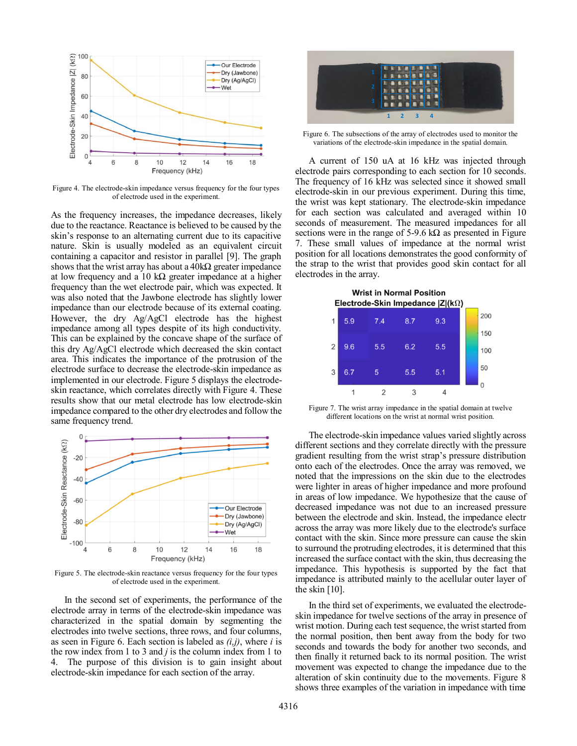

Figure 4. The electrode-skin impedance versus frequency for the four types of electrode used in the experiment.

As the frequency increases, the impedance decreases, likely due to the reactance. Reactance is believed to be caused by the skin's response to an alternating current due to its capacitive nature. Skin is usually modeled as an equivalent circuit containing a capacitor and resistor in parallel [9]. The graph shows that the wrist array has about a  $40k\Omega$  greater impedance at low frequency and a 10 k $\Omega$  greater impedance at a higher frequency than the wet electrode pair, which was expected. It was also noted that the Jawbone electrode has slightly lower impedance than our electrode because of its external coating. However, the dry Ag/AgCl electrode has the highest impedance among all types despite of its high conductivity. This can be explained by the concave shape of the surface of this dry Ag/AgCl electrode which decreased the skin contact area. This indicates the importance of the protrusion of the electrode surface to decrease the electrode-skin impedance as implemented in our electrode. Figure 5 displays the electrodeskin reactance, which correlates directly with Figure 4. These results show that our metal electrode has low electrode-skin impedance compared to the other dry electrodes and follow the same frequency trend.



Figure 5. The electrode-skin reactance versus frequency for the four types of electrode used in the experiment.

In the second set of experiments, the performance of the electrode array in terms of the electrode-skin impedance was characterized in the spatial domain by segmenting the electrodes into twelve sections, three rows, and four columns, as seen in Figure 6. Each section is labeled as *(i,j)*, where *i* is the row index from 1 to 3 and *j* is the column index from 1 to 4. The purpose of this division is to gain insight about electrode-skin impedance for each section of the array.



Figure 6. The subsections of the array of electrodes used to monitor the variations of the electrode-skin impedance in the spatial domain.

A current of 150 uA at 16 kHz was injected through electrode pairs corresponding to each section for 10 seconds. The frequency of 16 kHz was selected since it showed small electrode-skin in our previous experiment. During this time, the wrist was kept stationary. The electrode-skin impedance for each section was calculated and averaged within 10 seconds of measurement. The measured impedances for all sections were in the range of 5-9.6 kΩ as presented in Figure 7. These small values of impedance at the normal wrist position for all locations demonstrates the good conformity of the strap to the wrist that provides good skin contact for all electrodes in the array.



Figure 7. The wrist array impedance in the spatial domain at twelve different locations on the wrist at normal wrist position.

The electrode-skin impedance values varied slightly across different sections and they correlate directly with the pressure gradient resulting from the wrist strap's pressure distribution onto each of the electrodes. Once the array was removed, we noted that the impressions on the skin due to the electrodes were lighter in areas of higher impedance and more profound in areas of low impedance. We hypothesize that the cause of decreased impedance was not due to an increased pressure between the electrode and skin. Instead, the impedance electr across the array was more likely due to the electrode's surface contact with the skin. Since more pressure can cause the skin to surround the protruding electrodes, it is determined that this increased the surface contact with the skin, thus decreasing the impedance. This hypothesis is supported by the fact that impedance is attributed mainly to the acellular outer layer of the skin [10].

In the third set of experiments, we evaluated the electrodeskin impedance for twelve sections of the array in presence of wrist motion. During each test sequence, the wrist started from the normal position, then bent away from the body for two seconds and towards the body for another two seconds, and then finally it returned back to its normal position. The wrist movement was expected to change the impedance due to the alteration of skin continuity due to the movements. Figure 8 shows three examples of the variation in impedance with time